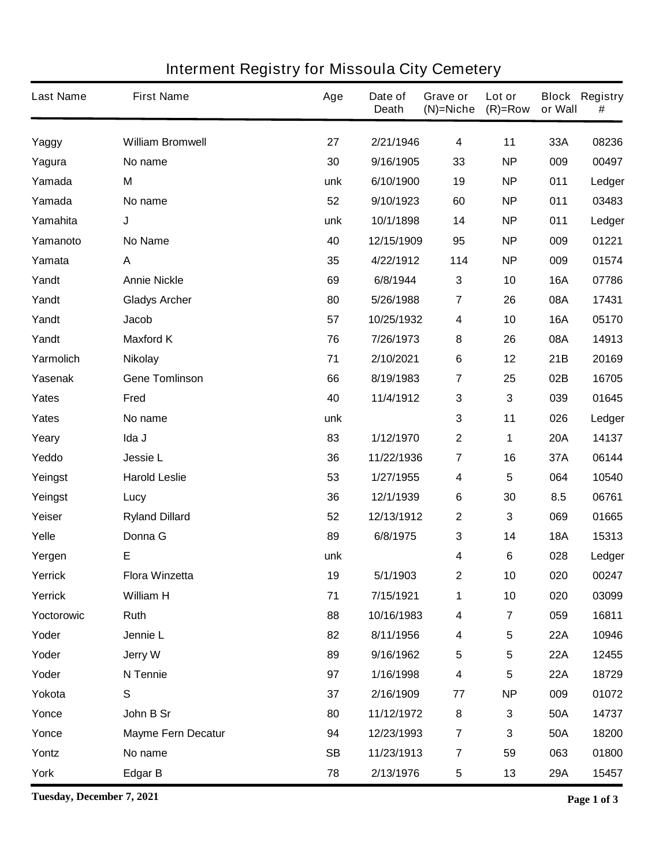| <b>Last Name</b> | <b>First Name</b>         | Age       | Date of<br><b>Death</b> | Grave or<br>$(N)$ =Niche | Lot or<br>$(R)=Row$     | or Wall    | <b>Block Registry</b><br># |
|------------------|---------------------------|-----------|-------------------------|--------------------------|-------------------------|------------|----------------------------|
| Yaggy            | <b>William Bromwell</b>   | 27        | 2/21/1946               | $\overline{\mathbf{4}}$  | 11                      | 33A        | 08236                      |
| Yagura           | No name                   | 30        | 9/16/1905               | 33                       | <b>NP</b>               | 009        | 00497                      |
| Yamada           | M                         | unk       | 6/10/1900               | 19                       | <b>NP</b>               | 011        | Ledger                     |
| Yamada           | No name                   | 52        | 9/10/1923               | 60                       | <b>NP</b>               | 011        | 03483                      |
| Yamahita         | J                         | unk       | 10/1/1898               | 14                       | <b>NP</b>               | 011        | Ledger                     |
| Yamanoto         | No Name                   | 40        | 12/15/1909              | 95                       | <b>NP</b>               | 009        | 01221                      |
| Yamata           | A                         | 35        | 4/22/1912               | 114                      | <b>NP</b>               | 009        | 01574                      |
| Yandt            | <b>Annie Nickle</b>       | 69        | 6/8/1944                | 3                        | 10                      | <b>16A</b> | 07786                      |
| Yandt            | <b>Gladys Archer</b>      | 80        | 5/26/1988               | $\overline{\mathbf{7}}$  | 26                      | 08A        | 17431                      |
| Yandt            | <b>Jacob</b>              | 57        | 10/25/1932              | 4                        | 10                      | <b>16A</b> | 05170                      |
| Yandt            | <b>Maxford K</b>          | 76        | 7/26/1973               | 8                        | 26                      | 08A        | 14913                      |
| Yarmolich        | <b>Nikolay</b>            | 71        | 2/10/2021               | $\bf 6$                  | 12                      | 21B        | 20169                      |
| Yasenak          | <b>Gene Tomlinson</b>     | 66        | 8/19/1983               | $\overline{\mathbf{7}}$  | 25                      | 02B        | 16705                      |
| <b>Yates</b>     | Fred                      | 40        | 11/4/1912               | 3                        | 3                       | 039        | 01645                      |
| <b>Yates</b>     | No name                   | unk       |                         | $\mathbf 3$              | 11                      | 026        | Ledger                     |
| Yeary            | Ida J                     | 83        | 1/12/1970               | $\mathbf 2$              | 1                       | <b>20A</b> | 14137                      |
| Yeddo            | <b>Jessie L</b>           | 36        | 11/22/1936              | $\overline{\mathbf{7}}$  | 16                      | 37A        | 06144                      |
| Yeingst          | <b>Harold Leslie</b>      | 53        | 1/27/1955               | 4                        | 5                       | 064        | 10540                      |
| Yeingst          | Lucy                      | 36        | 12/1/1939               | 6                        | 30                      | 8.5        | 06761                      |
| Yeiser           | <b>Ryland Dillard</b>     | 52        | 12/13/1912              | $\mathbf 2$              | 3                       | 069        | 01665                      |
| Yelle            | Donna G                   | 89        | 6/8/1975                | 3                        | 14                      | <b>18A</b> | 15313                      |
| Yergen           | E                         | unk       |                         | 4                        | 6                       | 028        | Ledger                     |
| Yerrick          | <b>Flora Winzetta</b>     | 19        | 5/1/1903                | 2                        | 10                      | 020        | 00247                      |
| Yerrick          | <b>William H</b>          | 71        | 7/15/1921               | 1                        | 10                      | 020        | 03099                      |
| Yoctorowic       | Ruth                      | 88        | 10/16/1983              | $\overline{\mathbf{4}}$  | $\overline{\mathbf{7}}$ | 059        | 16811                      |
| Yoder            | Jennie L                  | 82        | 8/11/1956               | 4                        | $\overline{\mathbf{5}}$ | <b>22A</b> | 10946                      |
| Yoder            | <b>Jerry W</b>            | 89        | 9/16/1962               | $\overline{\mathbf{5}}$  | 5                       | <b>22A</b> | 12455                      |
| Yoder            | N Tennie                  | 97        | 1/16/1998               | $\overline{\mathbf{4}}$  | $\overline{\mathbf{5}}$ | <b>22A</b> | 18729                      |
| Yokota           | ${\bf S}$                 | 37        | 2/16/1909               | 77                       | <b>NP</b>               | 009        | 01072                      |
| Yonce            | John B Sr                 | 80        | 11/12/1972              | 8                        | 3                       | 50A        | 14737                      |
| Yonce            | <b>Mayme Fern Decatur</b> | 94        | 12/23/1993              | $\overline{\mathbf{7}}$  | 3                       | 50A        | 18200                      |
| Yontz            | No name                   | <b>SB</b> | 11/23/1913              | $\overline{7}$           | 59                      | 063        | 01800                      |
| York             | <b>Edgar B</b>            | 78        | 2/13/1976               | 5                        | 13                      | 29A        | 15457                      |

## **Interment Registry for Missoula City Cemetery**

**Tuesday, December 7, 2021 Page 1 of 3**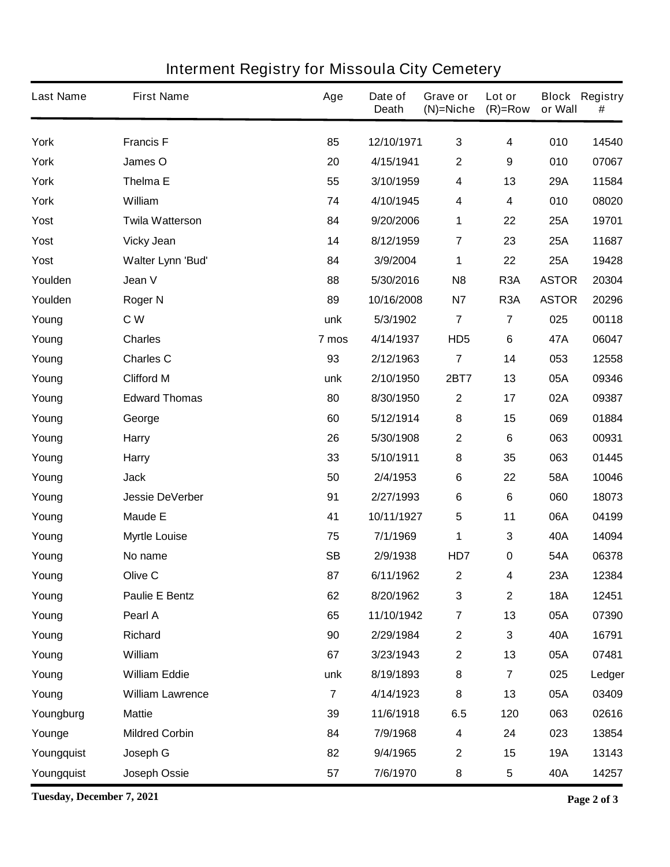| <b>Last Name</b> | <b>First Name</b>        | Age            | Date of<br><b>Death</b> | Grave or<br>$(N)$ =Niche | Lot or<br>$(R)=Row$     | or Wall      | <b>Block Registry</b><br># |
|------------------|--------------------------|----------------|-------------------------|--------------------------|-------------------------|--------------|----------------------------|
| <b>York</b>      | <b>Francis F</b>         | 85             | 12/10/1971              | $\mathbf{3}$             | $\overline{\mathbf{4}}$ | 010          | 14540                      |
| <b>York</b>      | James O                  | 20             | 4/15/1941               | $\boldsymbol{2}$         | 9                       | 010          | 07067                      |
| <b>York</b>      | <b>Thelma E</b>          | 55             | 3/10/1959               | 4                        | 13                      | 29A          | 11584                      |
| <b>York</b>      | William                  | 74             | 4/10/1945               | 4                        | 4                       | 010          | 08020                      |
| Yost             | <b>Twila Watterson</b>   | 84             | 9/20/2006               | 1                        | 22                      | 25A          | 19701                      |
| <b>Yost</b>      | <b>Vicky Jean</b>        | 14             | 8/12/1959               | $\overline{7}$           | 23                      | 25A          | 11687                      |
| Yost             | <b>Walter Lynn 'Bud'</b> | 84             | 3/9/2004                | 1                        | 22                      | 25A          | 19428                      |
| Youlden          | Jean V                   | 88             | 5/30/2016               | N <sub>8</sub>           | R <sub>3</sub> A        | <b>ASTOR</b> | 20304                      |
| Youlden          | <b>Roger N</b>           | 89             | 10/16/2008              | <b>N7</b>                | R <sub>3</sub> A        | <b>ASTOR</b> | 20296                      |
| Young            | C W                      | unk            | 5/3/1902                | 7                        | 7                       | 025          | 00118                      |
| Young            | <b>Charles</b>           | 7 mos          | 4/14/1937               | HD <sub>5</sub>          | 6                       | 47A          | 06047                      |
| Young            | <b>Charles C</b>         | 93             | 2/12/1963               | $\overline{7}$           | 14                      | 053          | 12558                      |
| Young            | <b>Clifford M</b>        | unk            | 2/10/1950               | <b>2BT7</b>              | 13                      | 05A          | 09346                      |
| Young            | <b>Edward Thomas</b>     | 80             | 8/30/1950               | $\boldsymbol{2}$         | 17                      | 02A          | 09387                      |
| Young            | George                   | 60             | 5/12/1914               | 8                        | 15                      | 069          | 01884                      |
| Young            | <b>Harry</b>             | 26             | 5/30/1908               | $\mathbf 2$              | 6                       | 063          | 00931                      |
| Young            | <b>Harry</b>             | 33             | 5/10/1911               | 8                        | 35                      | 063          | 01445                      |
| Young            | <b>Jack</b>              | 50             | 2/4/1953                | $\bf 6$                  | 22                      | 58A          | 10046                      |
| Young            | <b>Jessie DeVerber</b>   | 91             | 2/27/1993               | $\bf 6$                  | $\bf 6$                 | 060          | 18073                      |
| Young            | <b>Maude E</b>           | 41             | 10/11/1927              | 5                        | 11                      | 06A          | 04199                      |
| Young            | <b>Myrtle Louise</b>     | 75             | 7/1/1969                | 1                        | 3                       | 40A          | 14094                      |
| Young            | No name                  | <b>SB</b>      | 2/9/1938                | HD7                      | $\pmb{0}$               | 54A          | 06378                      |
| Young            | Olive C                  | 87             | 6/11/1962               | $\mathbf{2}$             | 4                       | 23A          | 12384                      |
| Young            | <b>Paulie E Bentz</b>    | 62             | 8/20/1962               | $\mathbf 3$              | $\mathbf 2$             | <b>18A</b>   | 12451                      |
| Young            | Pearl A                  | 65             | 11/10/1942              | $\overline{7}$           | 13                      | 05A          | 07390                      |
| Young            | <b>Richard</b>           | 90             | 2/29/1984               | $\boldsymbol{2}$         | 3                       | 40A          | 16791                      |
| Young            | William                  | 67             | 3/23/1943               | $\boldsymbol{2}$         | 13                      | 05A          | 07481                      |
| Young            | <b>William Eddie</b>     | unk            | 8/19/1893               | 8                        | $\overline{\mathbf{7}}$ | 025          | Ledger                     |
| Young            | <b>William Lawrence</b>  | $\overline{7}$ | 4/14/1923               | 8                        | 13                      | 05A          | 03409                      |
| Youngburg        | <b>Mattie</b>            | 39             | 11/6/1918               | 6.5                      | 120                     | 063          | 02616                      |
| Younge           | <b>Mildred Corbin</b>    | 84             | 7/9/1968                | 4                        | 24                      | 023          | 13854                      |
| Youngquist       | Joseph G                 | 82             | 9/4/1965                | $\mathbf{2}$             | 15                      | <b>19A</b>   | 13143                      |
| Youngquist       | Joseph Ossie             | 57             | 7/6/1970                | 8                        | ${\bf 5}$               | 40A          | 14257                      |

## **Interment Registry for Missoula City Cemetery**

**Tuesday, December 7, 2021 Page 2 of 3**